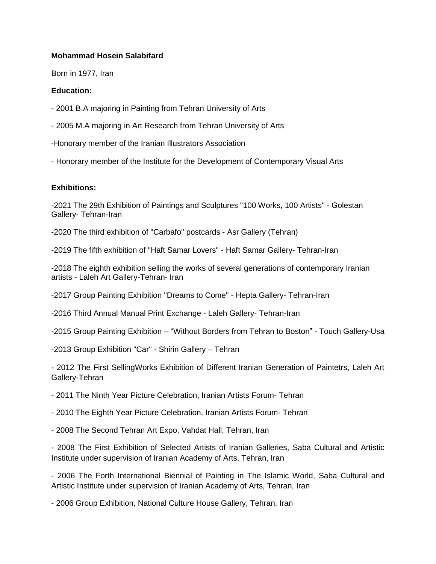## **Mohammad Hosein Salabifard**

Born in 1977, Iran

## **Education:**

- 2001 B.A majoring in Painting from Tehran University of Arts
- 2005 M.A majoring in Art Research from Tehran University of Arts
- -Honorary member of the Iranian Illustrators Association
- Honorary member of the Institute for the Development of Contemporary Visual Arts

## **Exhibitions:**

-2021 The 29th Exhibition of Paintings and Sculptures "100 Works, 100 Artists" - Golestan Gallery- Tehran-Iran

-2020 The third exhibition of "Carbafo" postcards - Asr Gallery (Tehran)

-2019 The fifth exhibition of "Haft Samar Lovers" - Haft Samar Gallery- Tehran-Iran

-2018 The eighth exhibition selling the works of several generations of contemporary Iranian artists - Laleh Art Gallery-Tehran- Iran

-2017 Group Painting Exhibition "Dreams to Come" - Hepta Gallery- Tehran-Iran

-2016 Third Annual Manual Print Exchange - Laleh Gallery- Tehran-Iran

-2015 Group Painting Exhibition – "Without Borders from Tehran to Boston" - Touch Gallery-Usa

-2013 Group Exhibition "Car" - Shirin Gallery – Tehran

- 2012 The First SellingWorks Exhibition of Different Iranian Generation of Paintetrs, Laleh Art Gallery-Tehran

- 2011 The Ninth Year Picture Celebration, Iranian Artists Forum- Tehran

- 2010 The Eighth Year Picture Celebration, Iranian Artists Forum- Tehran

- 2008 The Second Tehran Art Expo, Vahdat Hall, Tehran, Iran

- 2008 The First Exhibition of Selected Artists of Iranian Galleries, Saba Cultural and Artistic Institute under supervision of Iranian Academy of Arts, Tehran, Iran

- 2006 The Forth International Biennial of Painting in The Islamic World, Saba Cultural and Artistic Institute under supervision of Iranian Academy of Arts, Tehran, Iran

- 2006 Group Exhibition, National Culture House Gallery, Tehran, Iran